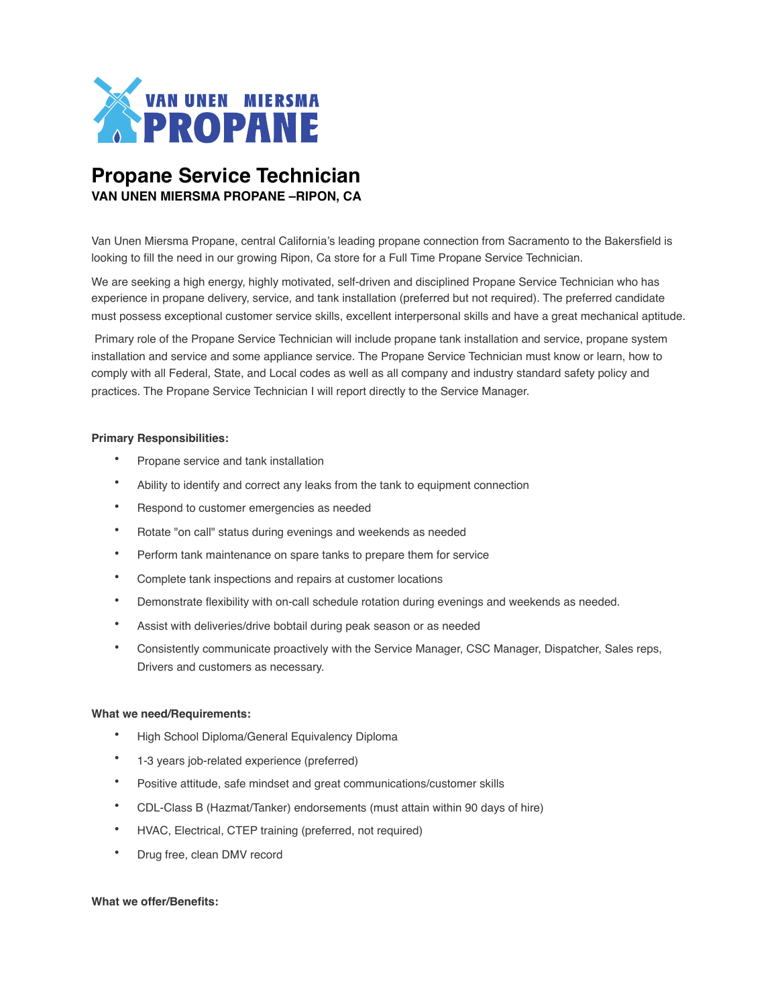

# **Propane Service Technician VAN UNEN MIERSMA PROPANE –RIPON, CA**

Van Unen Miersma Propane, central California's leading propane connection from Sacramento to the Bakersfield is looking to fill the need in our growing Ripon, Ca store for a Full Time Propane Service Technician.

We are seeking a high energy, highly motivated, self-driven and disciplined Propane Service Technician who has experience in propane delivery, service, and tank installation (preferred but not required). The preferred candidate must possess exceptional customer service skills, excellent interpersonal skills and have a great mechanical aptitude.

 Primary role of the Propane Service Technician will include propane tank installation and service, propane system installation and service and some appliance service. The Propane Service Technician must know or learn, how to comply with all Federal, State, and Local codes as well as all company and industry standard safety policy and practices. The Propane Service Technician I will report directly to the Service Manager.

### **Primary Responsibilities:**

- Propane service and tank installation
- Ability to identify and correct any leaks from the tank to equipment connection
- Respond to customer emergencies as needed
- Rotate "on call" status during evenings and weekends as needed
- Perform tank maintenance on spare tanks to prepare them for service
- Complete tank inspections and repairs at customer locations
- Demonstrate flexibility with on-call schedule rotation during evenings and weekends as needed.
- Assist with deliveries/drive bobtail during peak season or as needed
- Consistently communicate proactively with the Service Manager, CSC Manager, Dispatcher, Sales reps, Drivers and customers as necessary.

#### **What we need/Requirements:**

- High School Diploma/General Equivalency Diploma
- 1-3 years job-related experience (preferred)
- Positive attitude, safe mindset and great communications/customer skills
- CDL-Class B (Hazmat/Tanker) endorsements (must attain within 90 days of hire)
- HVAC, Electrical, CTEP training (preferred, not required)
- Drug free, clean DMV record

#### **What we offer/Benefits:**